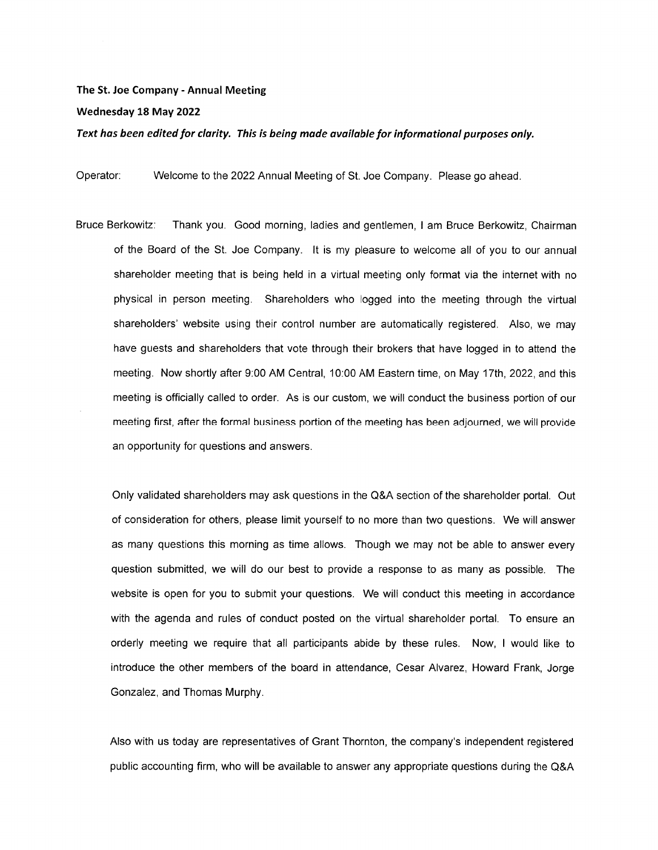## The St. Joe Company - Annual Meeting

## Wednesday 18 May 2022

Text has been edited for clarity. This is being made available for informational purposes only.

Operator: Welcome to the 2022 Annual Meeting of St. Joe Company. Please go ahead.

Bruce Berkowitz: Thank you. Good morning, ladies and gentlemen, I am Bruce Berkowitz, Chairman of the Board of the St. Joe Company. It is my pleasure to welcome all of you to our annual shareholder meeting that is being held in a virtual meeting only format via the internet with no physical in person meeting. Shareholders who logged into the meeting through the virtual shareholders' website using their control number are automatically registered. Also, we may have guests and shareholders that vote through their brokers that have logged in to attend the meeting. Now shortly after 9:00 AM Central, 10:00 AM Eastern time, on May 17th, 2022, and this meeting is officially called to order. As is our custom, we will conduct the business portion of our meeting first, after the formal business portion of the meeting has been adjourned, we will provide an opportunity for questions and answers.

Only validated shareholders may ask questions in the Q&A section of the shareholder portal. Out of consideration for others, please limit yourself to no more than two questions. We will answer as many questions this morning as time allows. Though we may not be able to answer every question submitted, we will do our best to provide a response to as many as possible. The website is open for you to submit your questions. We will conduct this meeting in accordance with the agenda and rules of conduct posted on the virtual shareholder portal. To ensure an orderly meeting we require that all participants abide by these rules. Now, I would like to introduce the other members of the board in attendance, Cesar Alvarez, Howard Frank, Jorge Gonzalez, and Thomas Murphy.

Also with us today are representatives of Grant Thornton, the company's independent registered public accounting firm, who will be available to answer any appropriate questions during the Q&A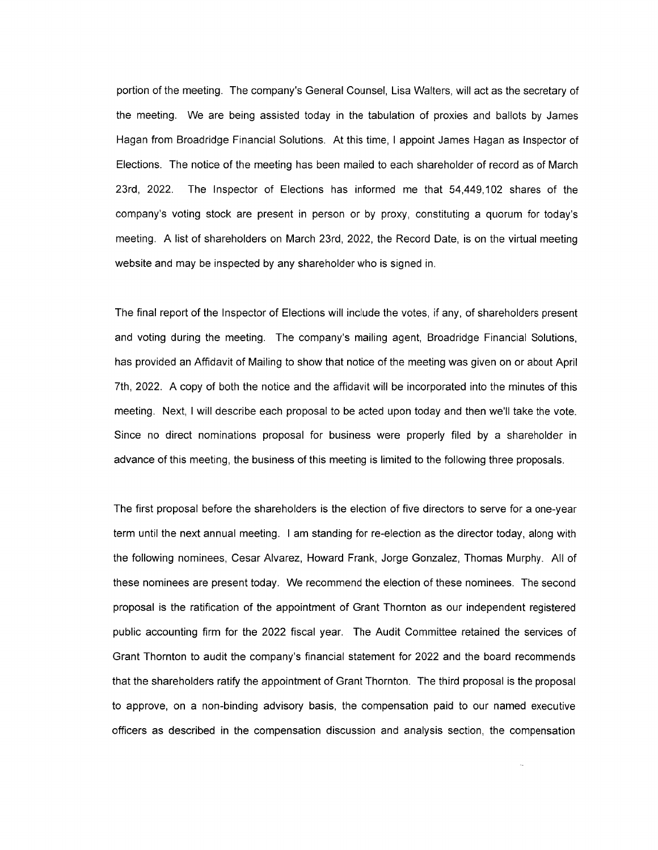portion of the meeting. The company's General Counsel, Lisa Walters, will act as the secretary of the meeting. We are being assisted today in the tabulation of proxies and ballots by James Hagan from Broadridge Financial Solutions. At this time, I appoint James Hagan as Inspector of Elections. The notice of the meeting has been mailed to each shareholder of record as of March 23rd, 2022. The Inspector of Elections has informed me that 54,449,102 shares of the company's voting stock are present in person or by proxy, constituting a quorum for today's meeting. A list of shareholders on March 23rd, 2022, the Record Date, is on the virtual meeting website and may be inspected by any shareholder who is signed in.

The final report of the Inspector of Elections will include the votes, if any, of shareholders present and voting during the meeting. The company's mailing agent, Broadridge Financial Solutions, has provided an Affidavit of Mailing to show that notice of the meeting was given on or about April 7th, 2022. A copy of both the notice and the affidavit will be incorporated into the minutes of this meeting. Next, I will describe each proposal to be acted upon today and then we'll take the vote. Since no direct nominations proposal for business were properly filed by a shareholder in advance of this meeting, the business of this meeting is limited to the following three proposals.

The first proposal before the shareholders is the election of five directors to serve for a one-year term until the next annual meeting. I am standing for re-election as the director today, along with the following nominees, Cesar Alvarez, Howard Frank, Jorge Gonzalez, Thomas Murphy. All of these nominees are present today. We recommend the election of these nominees. The second proposal is the ratification of the appointment of Grant Thornton as our independent registered public accounting firm for the 2022 fiscal year. The Audit Committee retained the services of Grant Thornton to audit the company's financial statement for 2022 and the board recommends that the shareholders ratify the appointment of Grant Thornton. The third proposal is the proposal to approve, on a non-binding advisory basis, the compensation paid to our named executive officers as described in the compensation discussion and analysis section, the compensation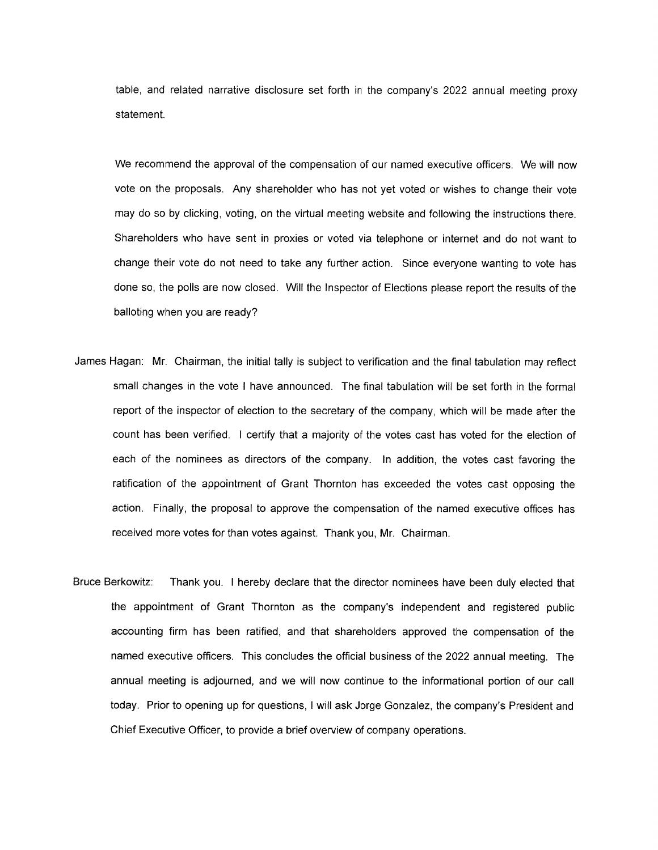table, and related narrative disclosure set forth in the company's 2022 annual meeting proxy statement.

We recommend the approval of the compensation of our named executive officers. We will now vote on the proposals. Any shareholder who has not yet voted or wishes to change their vote may do so by clicking, voting, on the virtual meeting website and following the instructions there. Shareholders who have sent in proxies or voted via telephone or internet and do not want to change their vote do not need to take any further action. Since everyone wanting to vote has done so, the polls are now closed. Will the Inspector of Elections please report the results of the balloting when you are ready?

- James Hagan: Mr. Chairman, the initial tally is subject to verification and the final tabulation may reflect small changes in the vote I have announced. The final tabulation will be set forth in the formal report of the inspector of election to the secretary of the company, which will be made after the count has been verified. I certify that a majority of the votes cast has voted for the election of each of the nominees as directors of the company. In addition, the votes cast favoring the ratification of the appointment of Grant Thornton has exceeded the votes cast opposing the action. Finally, the proposal to approve the compensation of the named executive offices has received more votes for than votes against. Thank you, Mr. Chairman.
- Bruce Berkowitz: Thank you. I hereby declare that the director nominees have been duly elected that the appointment of Grant Thornton as the company's independent and registered public accounting firm has been ratified, and that shareholders approved the compensation of the named executive officers. This concludes the official business of the 2022 annual meeting. The annual meeting is adjourned, and we will now continue to the informational portion of our call today. Prior to opening up for questions, I will ask Jorge Gonzalez, the company's President and Chief Executive Officer, to provide a brief overview of company operations.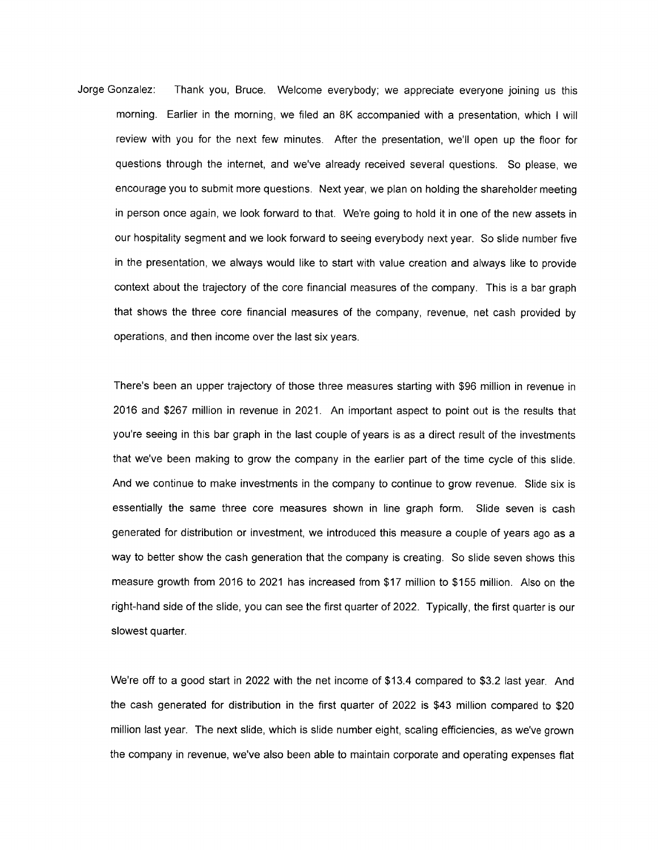Jorge Gonzalez: Thank you, Bruce. Welcome everybody; we appreciate everyone joining us this morning. Earlier in the morning, we filed an 8K accompanied with a presentation, which I will review with you for the next few minutes. After the presentation, we'll open up the floor for questions through the internet, and we've already received several questions. So please, we encourage you to submit more questions. Next year, we plan on holding the shareholder meeting in person once again, we look forward to that. We're going to hold it in one of the new assets in our hospitality segment and we look forward to seeing everybody next year. So slide number five in the presentation, we always would like to start with value creation and always like to provide context about the trajectory of the core financial measures of the company. This is a bar graph that shows the three core financial measures of the company, revenue, net cash provided by operations, and then income over the last six years.

There's been an upper trajectory of those three measures starting with \$96 million in revenue in 2016 and \$267 million in revenue in 2021. An important aspect to point out is the results that you're seeing in this bar graph in the last couple of years is as a direct result of the investments that we've been making to grow the company in the earlier part of the time cycle of this slide. And we continue to make investments in the company to continue to grow revenue. Slide six is essentially the same three core measures shown in line graph form. Slide seven is cash generated for distribution or investment, we introduced this measure a couple of years ago as a way to better show the cash generation that the company is creating. So slide seven shows this measure growth from 2016 to 2021 has increased from \$17 million to \$155 million. Also on the right-hand side of the slide, you can see the first quarter of 2022. Typically, the first quarter is our slowest quarter.

We're off to a good start in 2022 with the net income of \$13.4 compared to \$3.2 last year. And the cash generated for distribution in the first quarter of 2022 is \$43 million compared to \$20 million last year. The next slide, which is slide number eight, scaling efficiencies, as we've grown the company in revenue, we've also been able to maintain corporate and operating expenses flat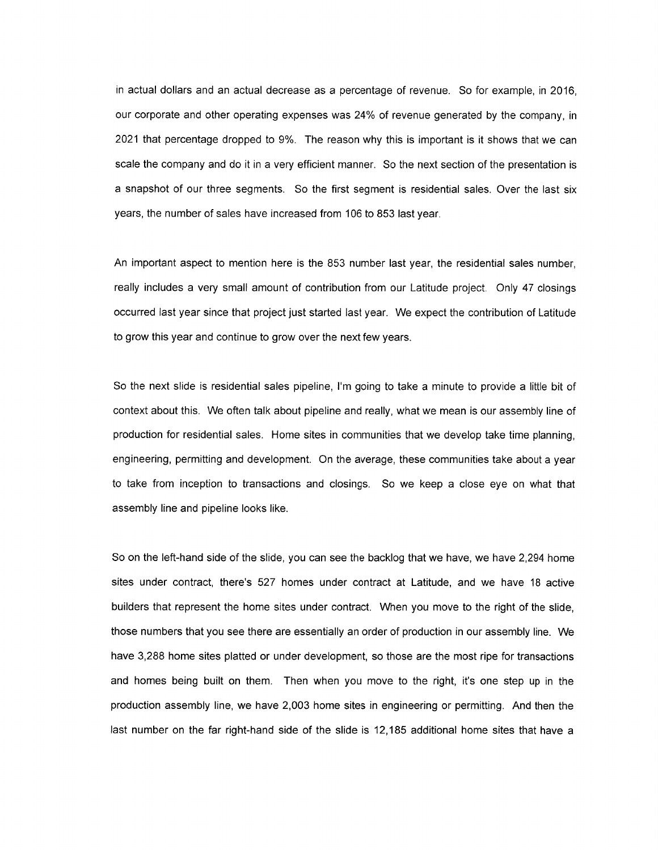in actual dollars and an actual decrease as a percentage of revenue. So for example, in 2016, our corporate and other operating expenses was 24% of revenue generated by the company, in 2021 that percentage dropped to 9%. The reason why this is important is it shows that we can scale the company and do it in a very efficient manner. So the next section of the presentation is a snapshot of our three segments. So the first segment is residential sales. Over the last six years, the number of sales have increased from 106 to 853 last year.

An important aspect to mention here is the 853 number last year, the residential sales number, really includes a very small amount of contribution from our Latitude project. Only 47 closings occurred last year since that project just started last year. We expect the contribution of Latitude to grow this year and continue to grow over the next few years.

So the next slide is residential sales pipeline, I'm going to take a minute to provide a little bit of context about this. We often talk about pipeline and really, what we mean is our assembly line of production for residential sales. Home sites in communities that we develop take time planning, engineering, permitting and development. On the average, these communities take about a year to take from inception to transactions and closings. So we keep a close eye on what that assembly line and pipeline looks like.

So on the left-hand side of the slide, you can see the backlog that we have, we have 2,294 home sites under contract, there's 527 homes under contract at Latitude, and we have 18 active builders that represent the home sites under contract. When you move to the right of the slide, those numbers that you see there are essentially an order of production in our assembly line. We have 3,288 home sites platted or under development, so those are the most ripe for transactions and homes being built on them. Then when you move to the right, it's one step up in the production assembly line, we have 2,003 home sites in engineering or permitting. And then the last number on the far right-hand side of the slide is 12,185 additional home sites that have a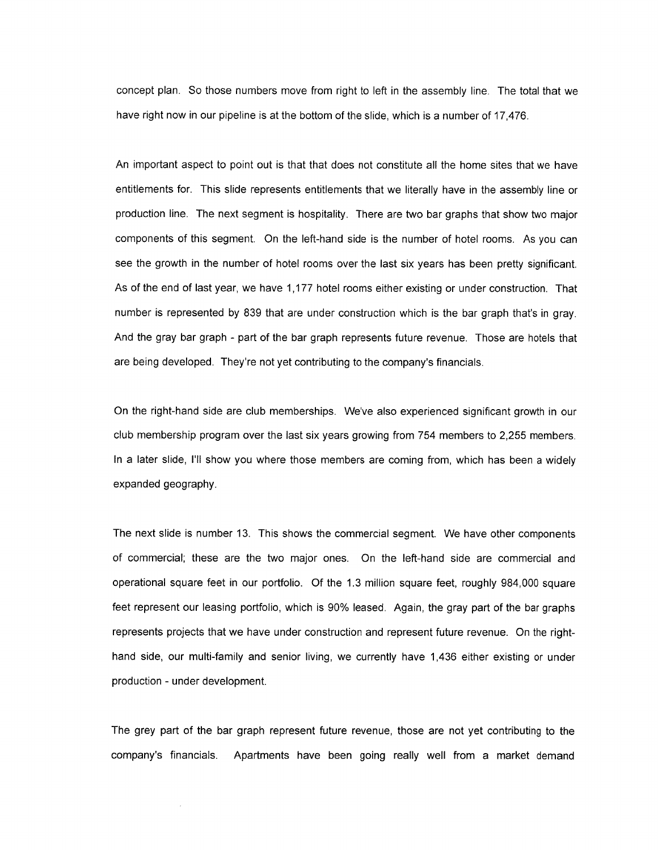concept plan. So those numbers move from right to left in the assembly line. The total that we have right now in our pipeline is at the bottom of the slide, which is a number of 17,476.

An important aspect to point out is that that does not constitute all the home sites that we have entitlements for. This slide represents entitlements that we literally have in the assembly line or production line. The next segment is hospitality. There are two bar graphs that show two major components of this segment. On the left-hand side is the number of hotel rooms. As you can see the growth in the number of hotel rooms over the last six years has been pretty significant. As of the end of last year, we have 1,177 hotel rooms either existing or under construction. That number is represented by 839 that are under construction which is the bar graph that's in gray. And the gray bar graph - part of the bar graph represents future revenue. Those are hotels that are being developed. They're not yet contributing to the company's financials.

On the right-hand side are club memberships. We've also experienced significant growth in our club membership program over the last six years growing from 754 members to 2,255 members. In a later slide, I'll show you where those members are coming from, which has been a widely expanded geography.

The next slide is number 13. This shows the commercial segment. We have other components of commercial; these are the two major ones. On the left-hand side are commercial and operational square feet in our portfolio. Of the 1.3 million square feet, roughly 984,000 square feet represent our leasing portfolio, which is 90% leased. Again, the gray part of the bar graphs represents projects that we have under construction and represent future revenue. On the righthand side, our multi-family and senior living, we currently have 1,436 either existing or under production - under development.

The grey part of the bar graph represent future revenue, those are not yet contributing to the company's financials. Apartments have been going really well from a market demand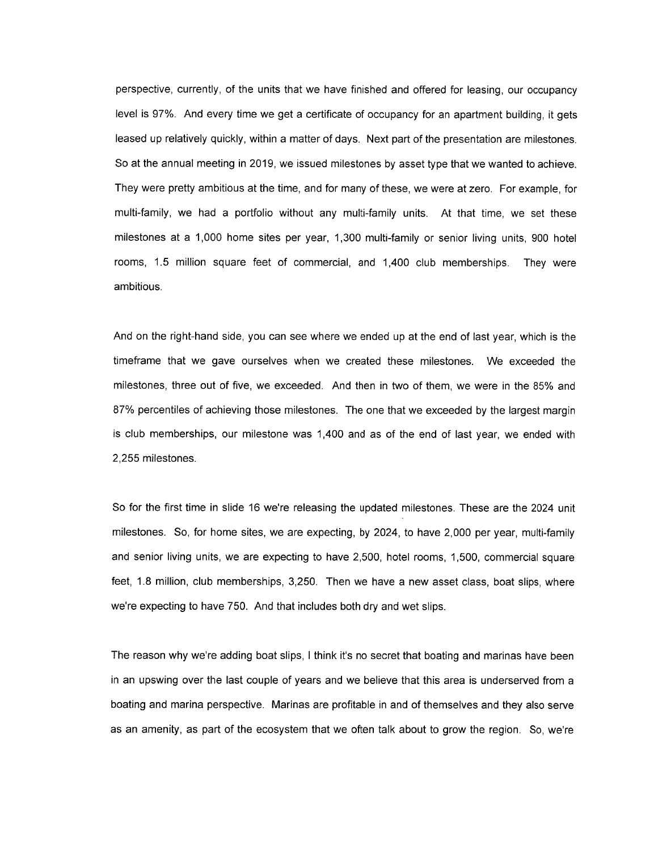perspective, currently, of the units that we have finished and offered for leasing, our occupancy level is 97%. And every time we get a certificate of occupancy for an apartment building, it gets leased up relatively quickly, within a matter of days. Next part of the presentation are milestones. So at the annual meeting in 2019, we issued milestones by asset type that we wanted to achieve. They were pretty ambitious at the time, and for many of these, we were at zero. For example, for multi-family, we had a portfolio without any multi-family units. At that time, we set these milestones at a 1,000 home sites per year, 1,300 multi-family or senior living units, 900 hotel rooms, 1.5 million square feet of commercial, and 1,400 club memberships. They were ambitious.

And on the right-hand side, you can see where we ended up at the end of last year, which is the timeframe that we gave ourselves when we created these milestones. We exceeded the milestones, three out of five, we exceeded. And then in two of them, we were in the 85% and 87% percentiles of achieving those milestones. The one that we exceeded by the largest margin is club memberships, our milestone was 1,400 and as of the end of last year, we ended with 2,255 milestones.

So for the first time in slide 16 we're releasing the updated milestones. These are the 2024 unit milestones. So, for home sites, we are expecting, by 2024, to have 2,000 per year, multi-family and senior living units, we are expecting to have 2,500, hotel rooms, 1,500, commercial square feet, 1.8 million, club memberships, 3,250. Then we have a new asset class, boat slips, where we're expecting to have 750. And that includes both dry and wet slips.

The reason why we're adding boat slips, I think it's no secret that boating and marinas have been in an upswing over the last couple of years and we believe that this area is underserved from a boating and marina perspective. Marinas are profitable in and of themselves and they also serve as an amenity, as part of the ecosystem that we often talk about to grow the region. So, we're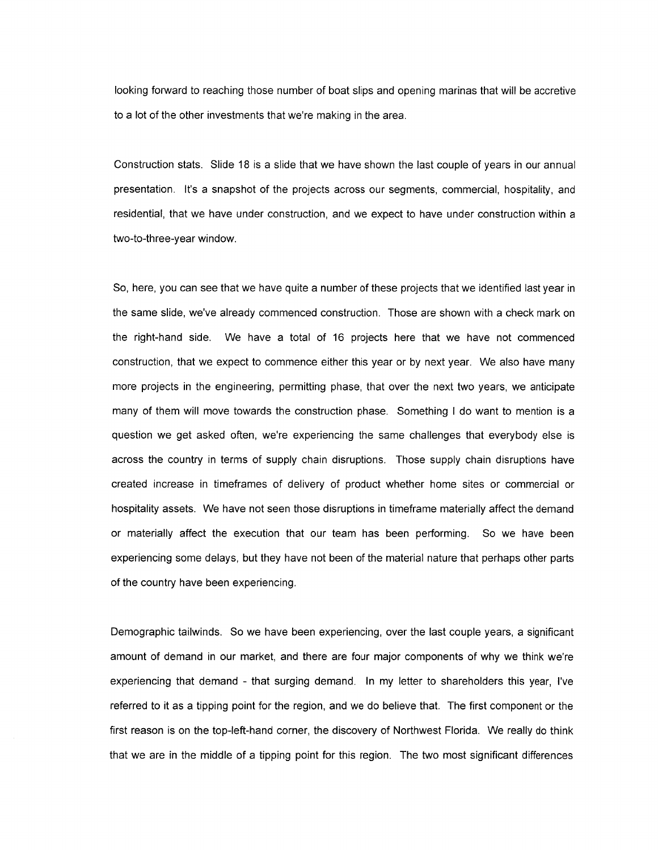looking forward to reaching those number of boat slips and opening marinas that will be accretive to a lot of the other investments that we're making in the area.

Construction stats. Slide 18 is a slide that we have shown the last couple of years in our annual presentation. It's a snapshot of the projects across our segments, commercial, hospitality, and residential, that we have under construction, and we expect to have under construction within a two-to-three-year window.

So, here, you can see that we have quite a number of these projects that we identified last year in the same slide, we've already commenced construction. Those are shown with a check mark on the right-hand side. We have a total of 16 projects here that we have not commenced construction, that we expect to commence either this year or by next year. We also have many more projects in the engineering, permitting phase, that over the next two years, we anticipate many of them will move towards the construction phase. Something I do want to mention is a question we get asked often, we're experiencing the same challenges that everybody else is across the country in terms of supply chain disruptions. Those supply chain disruptions have created increase in timeframes of delivery of product whether home sites or commercial or hospitality assets. We have not seen those disruptions in timeframe materially affect the demand or materially affect the execution that our team has been performing. So we have been experiencing some delays, but they have not been of the material nature that perhaps other parts of the country have been experiencing.

Demographic tailwinds. So we have been experiencing, over the last couple years, a significant amount of demand in our market, and there are four major components of why we think we're experiencing that demand - that surging demand. In my letter to shareholders this year, I've referred to it as a tipping point for the region, and we do believe that. The first component or the first reason is on the top-left-hand corner, the discovery of Northwest Florida. We really do think that we are in the middle of a tipping point for this region. The two most significant differences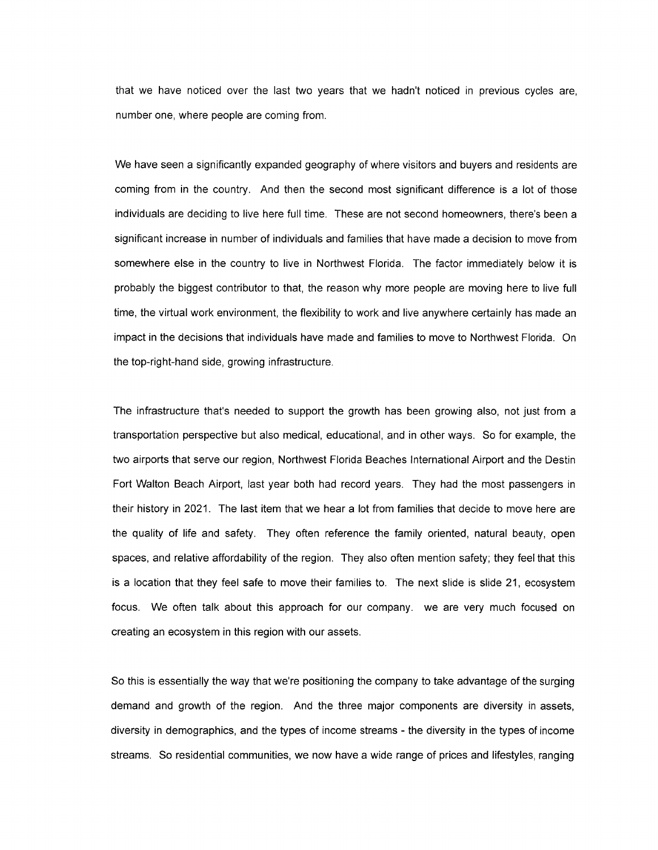that we have noticed over the last two years that we hadn't noticed in previous cycles are, number one, where people are coming from.

We have seen a significantly expanded geography of where visitors and buyers and residents are coming from in the country. And then the second most significant difference is a lot of those individuals are deciding to live here full time. These are not second homeowners, there's been a significant increase in number of individuals and families that have made a decision to move from somewhere else in the country to live in Northwest Florida. The factor immediately below it is probably the biggest contributor to that, the reason why more people are moving here to live full time, the virtual work environment, the flexibility to work and live anywhere certainly has made an impact in the decisions that individuals have made and families to move to Northwest Florida. On the top-right-hand side, growing infrastructure.

The infrastructure that's needed to support the growth has been growing also, not just from a transportation perspective but also medical, educational, and in other ways. So for example, the two airports that serve our region, Northwest Florida Beaches International Airport and the Destin Fort Walton Beach Airport, last year both had record years. They had the most passengers in their history in 2021. The last item that we hear a lot from families that decide to move here are the quality of life and safety. They often reference the family oriented, natural beauty, open spaces, and relative affordability of the region. They also often mention safety; they feel that this is a location that they feel safe to move their families to. The next slide is slide 21, ecosystem focus. We often talk about this approach for our company. we are very much focused on creating an ecosystem in this region with our assets.

So this is essentially the way that we're positioning the company to take advantage of the surging demand and growth of the region. And the three major components are diversity in assets, diversity in demographics, and the types of income streams - the diversity in the types of income streams. So residential communities, we now have a wide range of prices and lifestyles, ranging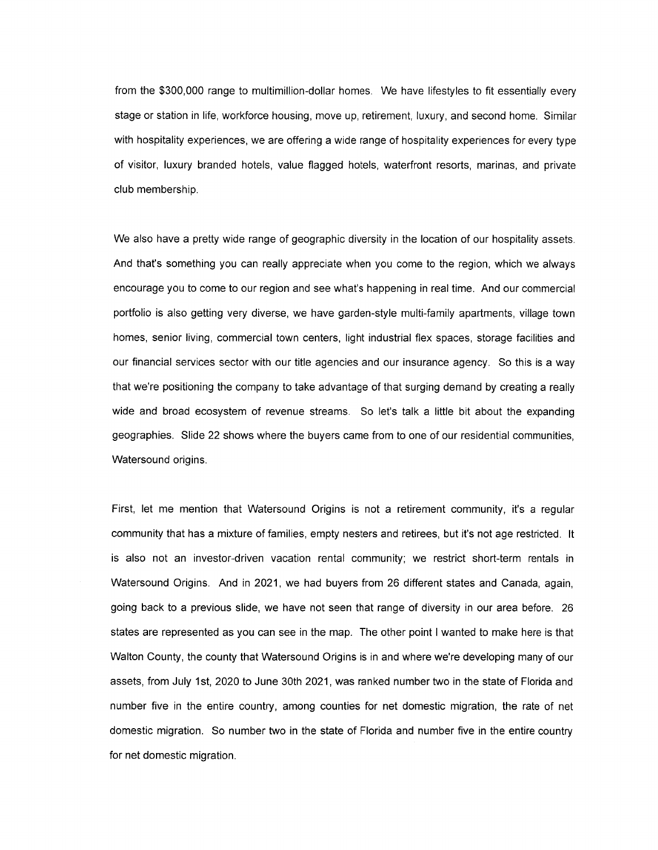from the \$300,000 range to multimillion-dollar homes. We have lifestyles to fit essentially every stage or station in life, workforce housing, move up, retirement, luxury, and second home. Similar with hospitality experiences, we are offering a wide range of hospitality experiences for every type of visitor, luxury branded hotels, value flagged hotels, waterfront resorts, marinas, and private club membership.

We also have a pretty wide range of geographic diversity in the location of our hospitality assets. And that's something you can really appreciate when you come to the region, which we always encourage you to come to our region and see what's happening in real time. And our commercial portfolio is also getting very diverse, we have garden-style multi-family apartments, village town homes, senior living, commercial town centers, light industrial flex spaces, storage facilities and our financial services sector with our title agencies and our insurance agency. So this is a way that we're positioning the company to take advantage of that surging demand by creating a really wide and broad ecosystem of revenue streams. So let's talk a little bit about the expanding geographies. Slide 22 shows where the buyers came from to one of our residential communities, Watersound origins.

First, let me mention that Watersound Origins is not a retirement community, it's a regular community that has a mixture of families, empty nesters and retirees, but it's not age restricted. It is also not an investor-driven vacation rental community; we restrict short-term rentals in Watersound Origins. And in 2021, we had buyers from 26 different states and Canada, again, going back to a previous slide, we have not seen that range of diversity in our area before. 26 states are represented as you can see in the map. The other point I wanted to make here is that Walton County, the county that Watersound Origins is in and where we're developing many of our assets, from July 1st, 2020 to June 30th 2021, was ranked number two in the state of Florida and number five in the entire country, among counties for net domestic migration, the rate of net domestic migration. So number two in the state of Florida and number five in the entire country for net domestic migration.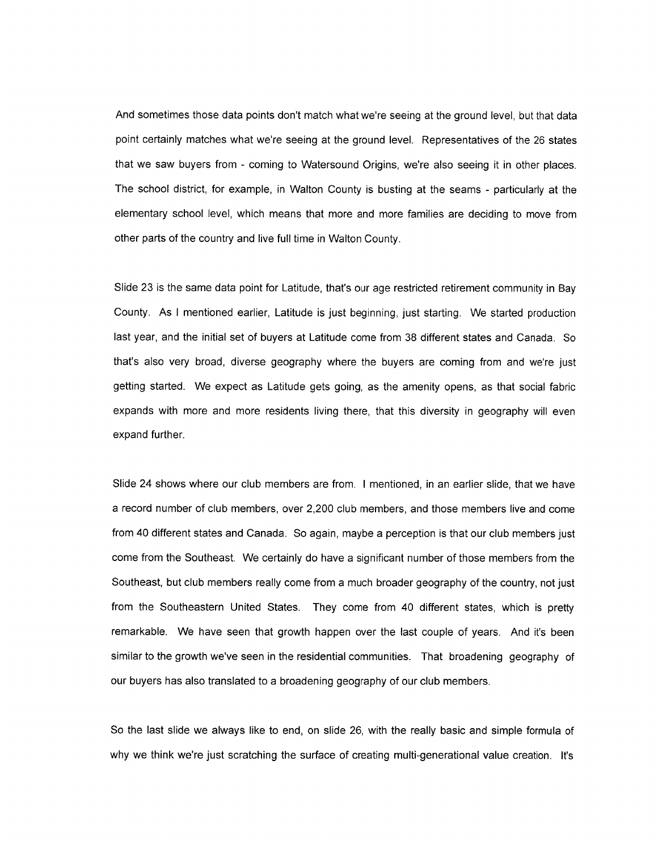And sometimes those data points don't match what we're seeing at the ground level, but that data point certainly matches what we're seeing at the ground level. Representatives of the 26 states that we saw buyers from - coming to Watersound Origins, we're also seeing it in other places. The school district, for example, in Walton County is busting at the seams - particularly at the elementary school level, which means that more and more families are deciding to move from other parts of the country and live full time in Walton County.

Slide 23 is the same data point for Latitude, that's our age restricted retirement community in Bay County. As I mentioned earlier, Latitude is just beginning, just starting. We started production last year, and the initial set of buyers at Latitude come from 38 different states and Canada. So that's also very broad, diverse geography where the buyers are coming from and we're just getting started. We expect as Latitude gets going, as the amenity opens, as that social fabric expands with more and more residents living there, that this diversity in geography will even expand further.

Slide 24 shows where our club members are from. I mentioned, in an earlier slide, that we have a record number of club members, over 2,200 club members, and those members live and come from 40 different states and Canada. So again, maybe a perception is that our club members just come from the Southeast. We certainly do have a significant number of those members from the Southeast, but club members really come from a much broader geography of the country, not just from the Southeastern United States. They come from 40 different states, which is pretty remarkable. We have seen that growth happen over the last couple of years. And it's been similar to the growth we've seen in the residential communities. That broadening geography of our buyers has also translated to a broadening geography of our club members.

So the last slide we always like to end, on slide 26, with the really basic and simple formula of why we think we're just scratching the surface of creating multi-generational value creation. It's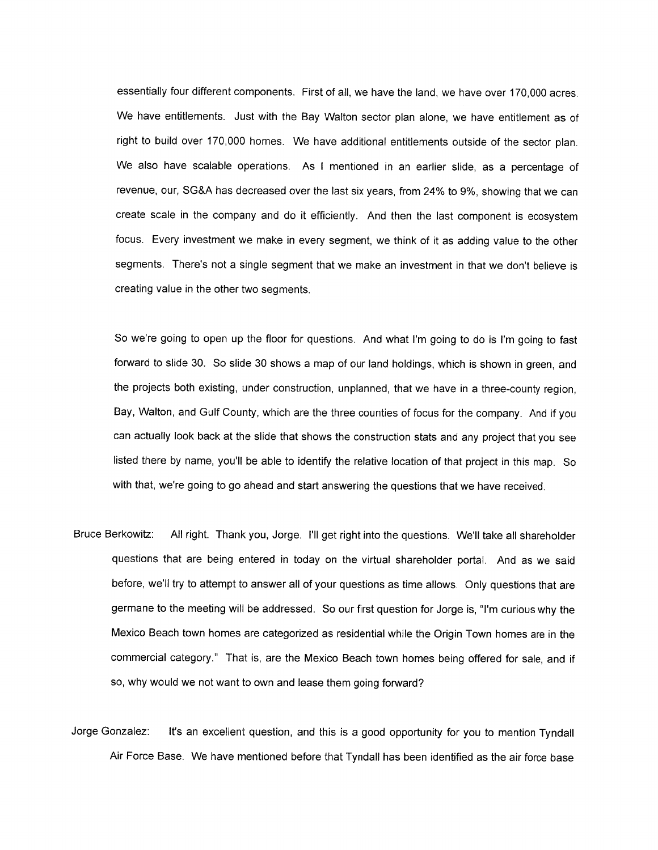essentially four different components. First of all, we have the land, we have over 170,000 acres. We have entitlements. Just with the Bay Walton sector plan alone, we have entitlement as of right to build over 170,000 homes. We have additional entitlements outside of the sector plan. We also have scalable operations. As I mentioned in an earlier slide, as a percentage of revenue, our, SG&A has decreased over the last six years, from 24% to 9%, showing that we can create scale in the company and do it efficiently. And then the last component is ecosystem focus. Every investment we make in every segment, we think of it as adding value to the other segments. There's not a single segment that we make an investment in that we don't believe is creating value in the other two segments.

So we're going to open up the floor for questions. And what I'm going to do is I'm going to fast forward to slide 30. So slide 30 shows a map of our land holdings, which is shown in green, and the projects both existing, under construction, unplanned, that we have in a three-county region, Bay, Walton, and Gulf County, which are the three counties of focus for the company. And if you can actually look back at the slide that shows the construction stats and any project that you see listed there by name, you'll be able to identify the relative location of that project in this map. So with that, we're going to go ahead and start answering the questions that we have received.

- Bruce Berkowitz: All right. Thank you, Jorge. I'll get right into the questions. We'll take all shareholder questions that are being entered in today on the virtual shareholder portal. And as we said before, we'll try to attempt to answer all of your questions as time allows. Only questions that are germane to the meeting will be addressed. So our first question for Jorge is, "I'm curious why the Mexico Beach town homes are categorized as residential while the Origin Town homes are in the commercial category." That is, are the Mexico Beach town homes being offered for sale, and if so, why would we not want to own and lease them going forward?
- Jorge Gonzalez: It's an excellent question, and this is a good opportunity for you to mention Tyndall Air Force Base. We have mentioned before that Tyndall has been identified as the air force base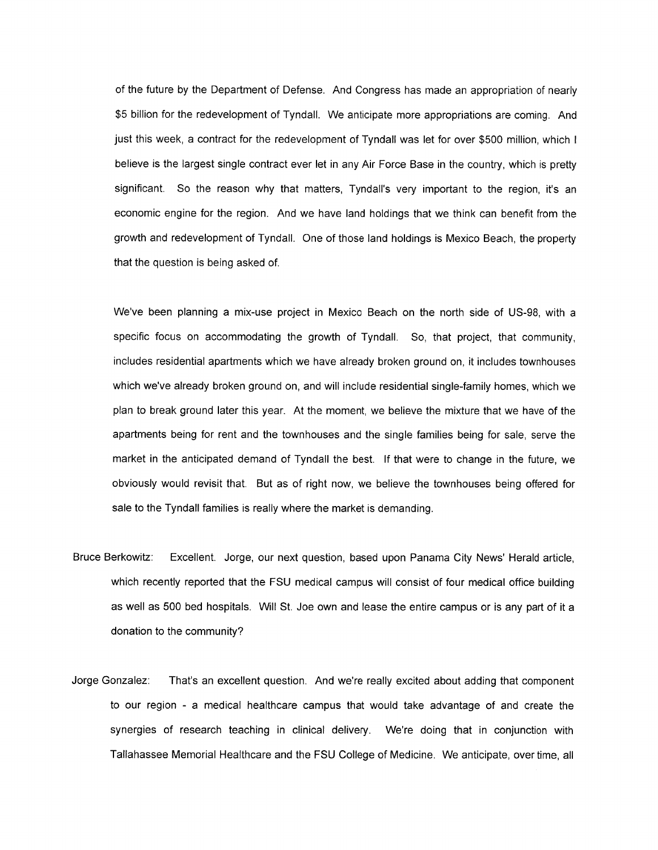of the future by the Department of Defense. And Congress has made an appropriation of nearly \$5 billion for the redevelopment of Tyndall. We anticipate more appropriations are coming. And just this week, a contract for the redevelopment of Tyndall was let for over \$500 million, which I believe is the largest single contract ever let in any Air Force Base in the country, which is pretty significant. So the reason why that matters, Tyndall's very important to the region, it's an economic engine for the region. And we have land holdings that we think can benefit from the growth and redevelopment of Tyndall. One of those land holdings is Mexico Beach, the property that the question is being asked of.

We've been planning a mix-use project in Mexico Beach on the north side of US-98, with a specific focus on accommodating the growth of Tyndall. So, that project, that community, includes residential apartments which we have already broken ground on, it includes townhouses which we've already broken ground on, and will include residential single-family homes, which we plan to break ground later this year. At the moment, we believe the mixture that we have of the apartments being for rent and the townhouses and the single families being for sale, serve the market in the anticipated demand of Tyndall the best. If that were to change in the future, we obviously would revisit that. But as of right now, we believe the townhouses being offered for sale to the Tyndall families is really where the market is demanding.

- Bruce Berkowitz: Excellent. Jorge, our next question, based upon Panama City News' Herald article, which recently reported that the FSU medical campus will consist of four medical office building as well as 500 bed hospitals. Will St. Joe own and lease the entire campus or is any part of it a donation to the community?
- Jorge Gonzalez: That's an excellent question. And we're really excited about adding that component to our region - a medical healthcare campus that would take advantage of and create the synergies of research teaching in clinical delivery. We're doing that in conjunction with Tallahassee Memorial Healthcare and the FSU College of Medicine. We anticipate, over time, all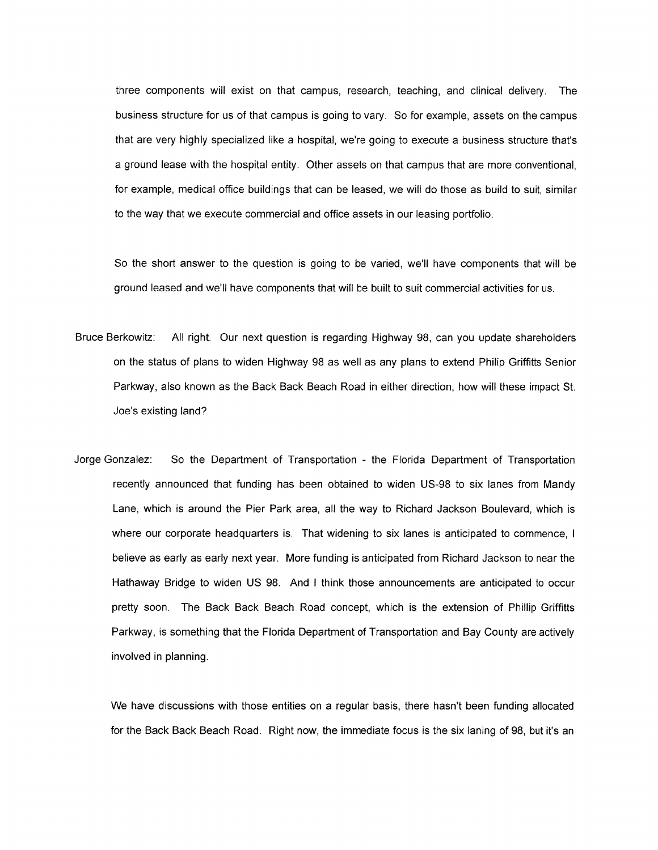three components will exist on that campus, research, teaching, and clinical delivery. The business structure for us of that campus is going to vary. So for example, assets on the campus that are very highly specialized like a hospital, we're going to execute a business structure that's a ground lease with the hospital entity. Other assets on that campus that are more conventional, for example, medical office buildings that can be leased, we will do those as build to suit, similar to the way that we execute commercial and office assets in our leasing portfolio.

So the short answer to the question is going to be varied, we'll have components that will be ground leased and we'll have components that will be built to suit commercial activities for us.

- Bruce Berkowitz: All right. Our next question is regarding Highway 98, can you update shareholders on the status of plans to widen Highway 98 as well as any plans to extend Philip Griffitts Senior Parkway, also known as the Back Back Beach Road in either direction, how will these impact St. Joe's existing land?
- Jorge Gonzalez: So the Department of Transportation the Florida Department of Transportation recently announced that funding has been obtained to widen US-98 to six lanes from Mandy Lane, which is around the Pier Park area, all the way to Richard Jackson Boulevard, which is where our corporate headquarters is. That widening to six lanes is anticipated to commence, I believe as early as early next year. More funding is anticipated from Richard Jackson to near the Hathaway Bridge to widen US 98. And I think those announcements are anticipated to occur pretty soon. The Back Back Beach Road concept, which is the extension of Phillip Griffitts Parkway, is something that the Florida Department of Transportation and Bay County are actively involved in planning.

We have discussions with those entities on a regular basis, there hasn't been funding allocated for the Back Back Beach Road. Right now, the immediate focus is the six laning of 98, but it's an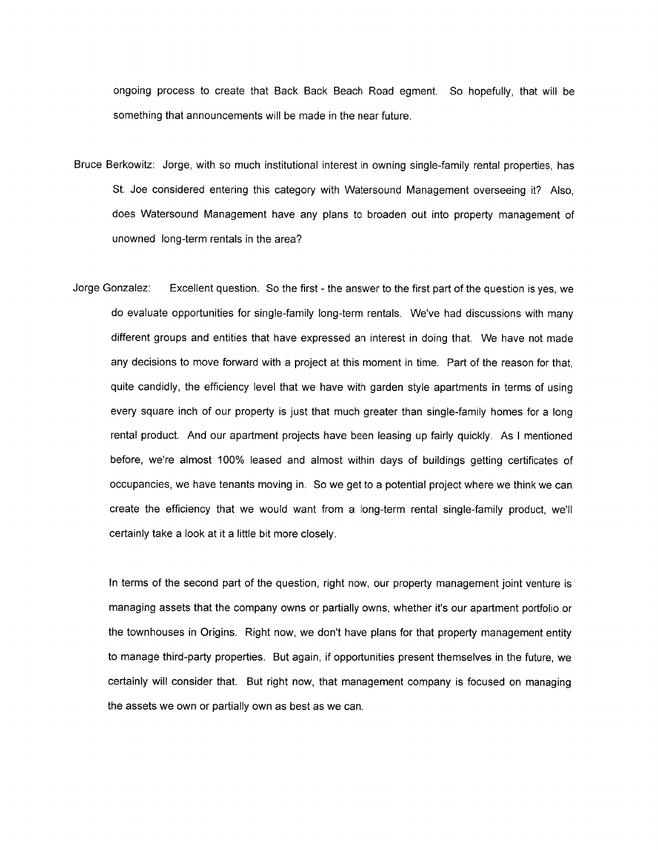ongoing process to create that Back Back Beach Road egment. So hopefully, that will be something that announcements will be made in the near future.

- Bruce Berkowitz: Jorge, with so much institutional interest in owning single-family rental properties, has St. Joe considered entering this category with Watersound Management overseeing it? Also, does Watersound Management have any plans to broaden out into property management of unowned long-term rentals in the area?
- Jorge Gonzalez: Excellent question. So the first the answer to the first part of the question is yes, we do evaluate opportunities for single-family long-term rentals. We've had discussions with many different groups and entities that have expressed an interest in doing that. We have not made any decisions to move forward with a project at this moment in time. Part of the reason for that, quite candidly, the efficiency level that we have with garden style apartments in terms of using every square inch of our property is just that much greater than single-family homes for a long rental product. And our apartment projects have been leasing up fairly quickly. As I mentioned before, we're almost 100% leased and almost within days of buildings getting certificates of occupancies, we have tenants moving in. So we get to a potential project where we think we can create the efficiency that we would want from a long-term rental single-family product, we'll certainly take a look at it a little bit more closely.

In terms of the second part of the question, right now, our property management joint venture is managing assets that the company owns or partially owns, whether it's our apartment portfolio or the townhouses in Origins. Right now, we don't have plans for that property management entity to manage third-party properties. But again, if opportunities present themselves in the future, we certainly will consider that. But right now, that management company is focused on managing the assets we own or partially own as best as we can.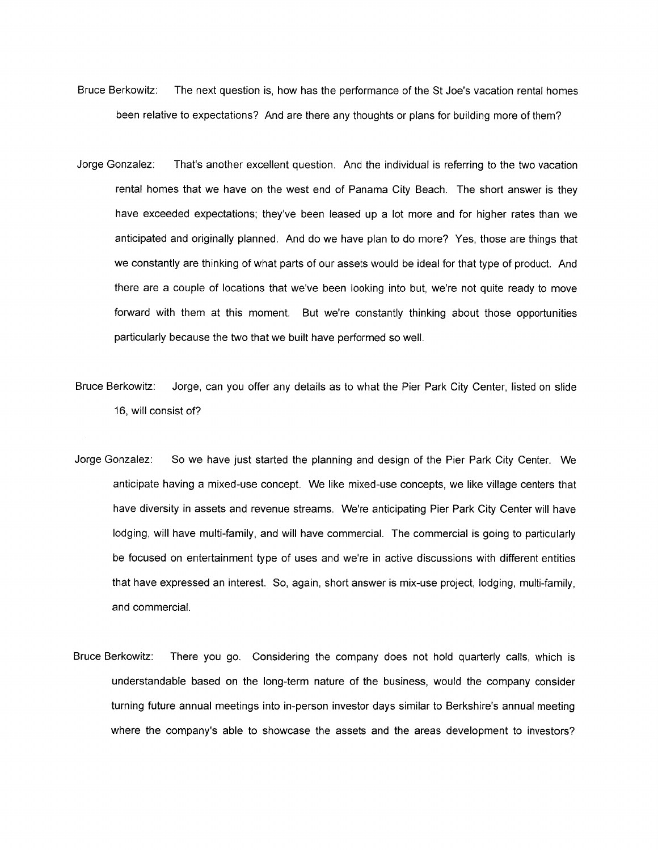- Bruce Berkowitz: The next question is, how has the performance of the St Joe's vacation rental homes been relative to expectations? And are there any thoughts or plans for building more of them?
- Jorge Gonzalez: That's another excellent question. And the individual is referring to the two vacation rental homes that we have on the west end of Panama City Beach. The short answer is they have exceeded expectations; they've been leased up a lot more and for higher rates than we anticipated and originally planned. And do we have plan to do more? Yes, those are things that we constantly are thinking of what parts of our assets would be ideal for that type of product. And there are a couple of locations that we've been looking into but, we're not quite ready to move forward with them at this moment. But we're constantly thinking about those opportunities particularly because the two that we built have performed so well.
- Bruce Berkowitz: Jorge, can you offer any details as to what the Pier Park City Center, listed on slide 16, will consist of?
- Jorge Gonzalez: So we have just started the planning and design of the Pier Park City Center. We anticipate having a mixed-use concept. We like mixed-use concepts, we like village centers that have diversity in assets and revenue streams. We're anticipating Pier Park City Center will have lodging, will have multi-family, and will have commercial. The commercial is going to particularly be focused on entertainment type of uses and we're in active discussions with different entities that have expressed an interest. So, again, short answer is mix-use project, lodging, multi-family, and commercial.
- Bruce Berkowitz: There you go. Considering the company does not hold quarterly calls, which is understandable based on the long-term nature of the business, would the company consider turning future annual meetings into in-person investor days similar to Berkshire's annual meeting where the company's able to showcase the assets and the areas development to investors?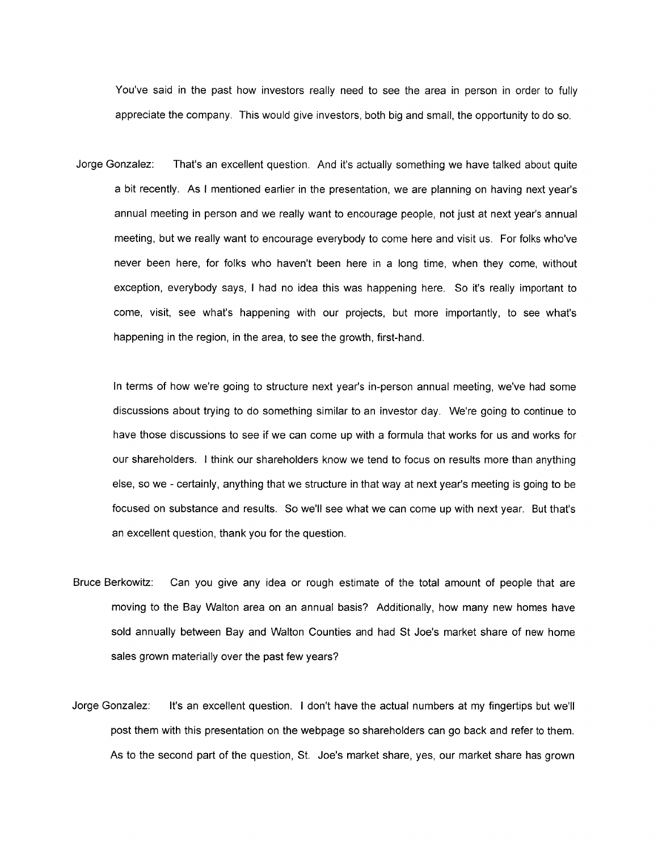You've said in the past how investors really need to see the area in person in order to fully appreciate the company. This would give investors, both big and small, the opportunity to do so.

Jorge Gonzalez: That's an excellent question. And it's actually something we have talked about quite a bit recently. As I mentioned earlier in the presentation, we are planning on having next year's annual meeting in person and we really want to encourage people, not just at next year's annual meeting, but we really want to encourage everybody to come here and visit us. For folks who've never been here, for folks who haven't been here in a long time, when they come, without exception, everybody says, I had no idea this was happening here. So it's really important to come, visit, see what's happening with our projects, but more importantly, to see what's happening in the region, in the area, to see the growth, first-hand.

In terms of how we're going to structure next year's in-person annual meeting, we've had some discussions about trying to do something similar to an investor day. We're going to continue to have those discussions to see if we can come up with a formula that works for us and works for our shareholders. I think our shareholders know we tend to focus on results more than anything else, so we - certainly, anything that we structure in that way at next year's meeting is going to be focused on substance and results. So we'll see what we can come up with next year. But that's an excellent question, thank you for the question.

- Bruce Berkowitz: Can you give any idea or rough estimate of the total amount of people that are moving to the Bay Walton area on an annual basis? Additionally, how many new homes have sold annually between Bay and Walton Counties and had St Joe's market share of new home sales grown materially over the past few years?
- Jorge Gonzalez: It's an excellent question. I don't have the actual numbers at my fingertips but we'll post them with this presentation on the webpage so shareholders can go back and refer to them. As to the second part of the question, St. Joe's market share, yes, our market share has grown